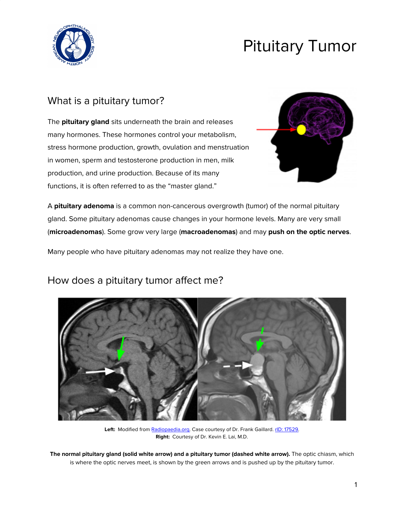

# Pituitary Tumor

# What is a pituitary tumor?

The **pituitary gland** sits underneath the brain and releases many hormones. These hormones control your metabolism, stress hormone production, growth, ovulation and menstruation in women, sperm and testosterone production in men, milk production, and urine production. Because of its many functions, it is often referred to as the "master gland."



A **pituitary adenoma** is a common non-cancerous overgrowth (tumor) of the normal pituitary gland. Some pituitary adenomas cause changes in your hormone levels. Many are very small (**microadenomas**). Some grow very large (**macroadenomas**) and may **push on the optic nerves**.

Many people who have pituitary adenomas may not realize they have one.

### How does a pituitary tumor affect me?



Left: Modified from [Radiopaedia.org](https://radiopaedia.org/). Case courtesy of Dr. Frank Gaillard. rID: [17529.](https://radiopaedia.org/cases/17529) **Right:** Courtesy of Dr. Kevin E. Lai, M.D.

**The normal pituitary gland (solid white arrow) and a pituitary tumor (dashed white arrow).** The optic chiasm, which is where the optic nerves meet, is shown by the green arrows and is pushed up by the pituitary tumor.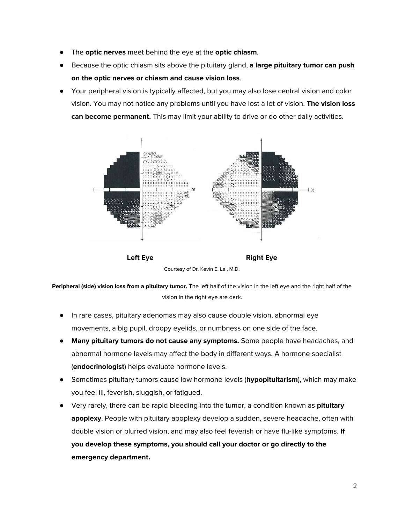- The **optic nerves** meet behind the eye at the **optic chiasm**.
- Because the optic chiasm sits above the pituitary gland, **a large pituitary tumor can push on the optic nerves or chiasm and cause vision loss**.
- Your peripheral vision is typically affected, but you may also lose central vision and color vision. You may not notice any problems until you have lost a lot of vision. **The vision loss can become permanent.** This may limit your ability to drive or do other daily activities.





**Peripheral (side) vision loss from a pituitary tumor.** The left half of the vision in the left eye and the right half of the vision in the right eye are dark.

- In rare cases, pituitary adenomas may also cause double vision, abnormal eye movements, a big pupil, droopy eyelids, or numbness on one side of the face.
- **Many pituitary tumors do not cause any symptoms.** Some people have headaches, and abnormal hormone levels may affect the body in different ways. A hormone specialist (**endocrinologist**) helps evaluate hormone levels.
- Sometimes pituitary tumors cause low hormone levels (**hypopituitarism**), which may make you feel ill, feverish, sluggish, or fatigued.
- Very rarely, there can be rapid bleeding into the tumor, a condition known as **pituitary apoplexy**. People with pituitary apoplexy develop a sudden, severe headache, often with double vision or blurred vision, and may also feel feverish or have flu-like symptoms. **If you develop these symptoms, you should call your doctor or go directly to the emergency department.**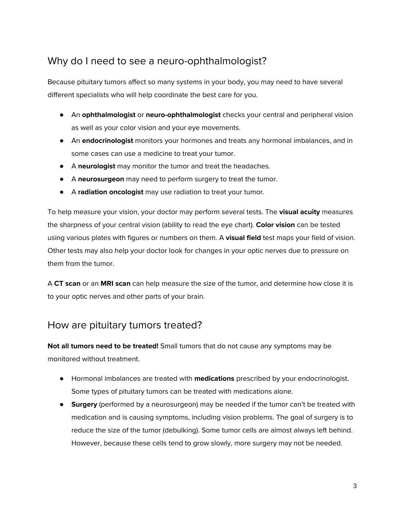# Why do I need to see a neuro-ophthalmologist?

Because pituitary tumors affect so many systems in your body, you may need to have several different specialists who will help coordinate the best care for you.

- An **ophthalmologist** or **neuro-ophthalmologist** checks your central and peripheral vision as well as your color vision and your eye movements.
- An **endocrinologist** monitors your hormones and treats any hormonal imbalances, and in some cases can use a medicine to treat your tumor.
- A **neurologist** may monitor the tumor and treat the headaches.
- A **neurosurgeon** may need to perform surgery to treat the tumor.
- A **radiation oncologist** may use radiation to treat your tumor.

To help measure your vision, your doctor may perform several tests. The **visual acuity** measures the sharpness of your central vision (ability to read the eye chart). **Color vision** can be tested using various plates with figures or numbers on them. A **visual field** test maps your field of vision. Other tests may also help your doctor look for changes in your optic nerves due to pressure on them from the tumor.

A **CT scan** or an **MRI scan** can help measure the size of the tumor, and determine how close it is to your optic nerves and other parts of your brain.

# How are pituitary tumors treated?

**Not all tumors need to be treated!** Small tumors that do not cause any symptoms may be monitored without treatment.

- Hormonal imbalances are treated with **medications** prescribed by your endocrinologist. Some types of pituitary tumors can be treated with medications alone.
- **Surgery** (performed by a neurosurgeon) may be needed if the tumor can't be treated with medication and is causing symptoms, including vision problems. The goal of surgery is to reduce the size of the tumor (debulking). Some tumor cells are almost always left behind. However, because these cells tend to grow slowly, more surgery may not be needed.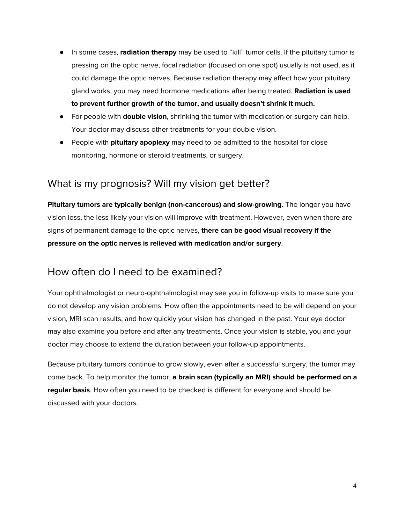- In some cases, **radiation therapy** may be used to "kill" tumor cells. If the pituitary tumor is pressing on the optic nerve, focal radiation (focused on one spot) usually is not used, as it could damage the optic nerves. Because radiation therapy may affect how your pituitary gland works, you may need hormone medications after being treated. **Radiation is used to prevent further growth of the tumor, and usually doesn't shrink it much.**
- For people with **double vision**, shrinking the tumor with medication or surgery can help. Your doctor may discuss other treatments for your double vision.
- People with **pituitary apoplexy** may need to be admitted to the hospital for close monitoring, hormone or steroid treatments, or surgery.

## What is my prognosis? Will my vision get better?

**Pituitary tumors are typically benign (non-cancerous) and slow-growing.** The longer you have vision loss, the less likely your vision will improve with treatment. However, even when there are signs of permanent damage to the optic nerves, **there can be good visual recovery if the pressure on the optic nerves is relieved with medication and/or surgery**.

# How often do I need to be examined?

Your ophthalmologist or neuro-ophthalmologist may see you in follow-up visits to make sure you do not develop any vision problems. How often the appointments need to be will depend on your vision, MRI scan results, and how quickly your vision has changed in the past. Your eye doctor may also examine you before and after any treatments. Once your vision is stable, you and your doctor may choose to extend the duration between your follow-up appointments.

Because pituitary tumors continue to grow slowly, even after a successful surgery, the tumor may come back. To help monitor the tumor, **a brain scan (typically an MRI) should be performed on a regular basis**. How often you need to be checked is different for everyone and should be discussed with your doctors.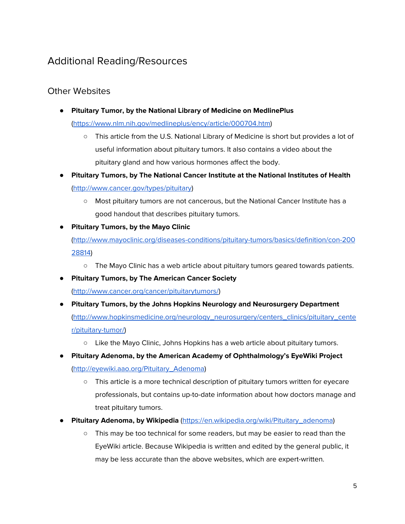# Additional Reading/Resources

#### Other Websites

- **Pituitary Tumor, by the National Library of Medicine on MedlinePlus** ([https://www.nlm.nih.gov/medlineplus/ency/article/000704.htm\)](https://www.nlm.nih.gov/medlineplus/ency/article/000704.htm)
	- This article from the U.S. National Library of Medicine is short but provides a lot of useful information about pituitary tumors. It also contains a video about the pituitary gland and how various hormones affect the body.
- **Pituitary Tumors, by The National Cancer Institute at the National Institutes of Health** ([http://www.cancer.gov/types/pituitary\)](http://www.cancer.gov/types/pituitary)
	- Most pituitary tumors are not cancerous, but the National Cancer Institute has a good handout that describes pituitary tumors.
- **Pituitary Tumors, by the Mayo Clinic**

([http://www.mayoclinic.org/diseases-conditions/pituitary-tumors/basics/definition/con-200](http://www.mayoclinic.org/diseases-conditions/pituitary-tumors/basics/definition/con-20028814) [28814](http://www.mayoclinic.org/diseases-conditions/pituitary-tumors/basics/definition/con-20028814))

- The Mayo Clinic has a web article about pituitary tumors geared towards patients.
- **Pituitary Tumors, by The American Cancer Society** ([http://www.cancer.org/cancer/pituitarytumors/\)](http://www.cancer.org/cancer/pituitarytumors/)
- **Pituitary Tumors, by the Johns Hopkins Neurology and Neurosurgery Department** ([http://www.hopkinsmedicine.org/neurology\\_neurosurgery/centers\\_clinics/pituitary\\_cente](http://www.hopkinsmedicine.org/neurology_neurosurgery/centers_clinics/pituitary_center/pituitary-tumor/) [r/pituitary-tumor/](http://www.hopkinsmedicine.org/neurology_neurosurgery/centers_clinics/pituitary_center/pituitary-tumor/))
	- Like the Mayo Clinic, Johns Hopkins has a web article about pituitary tumors.
- **Pituitary Adenoma, by the American Academy of Ophthalmology's EyeWiki Project** ([http://eyewiki.aao.org/Pituitary\\_Adenoma](http://eyewiki.aao.org/Pituitary_Adenoma))
	- This article is a more technical description of pituitary tumors written for eyecare professionals, but contains up-to-date information about how doctors manage and treat pituitary tumors.
- **Pituitary Adenoma, by Wikipedia** ([https://en.wikipedia.org/wiki/Pituitary\\_adenoma](https://en.wikipedia.org/wiki/Pituitary_adenoma))
	- This may be too technical for some readers, but may be easier to read than the EyeWiki article. Because Wikipedia is written and edited by the general public, it may be less accurate than the above websites, which are expert-written.